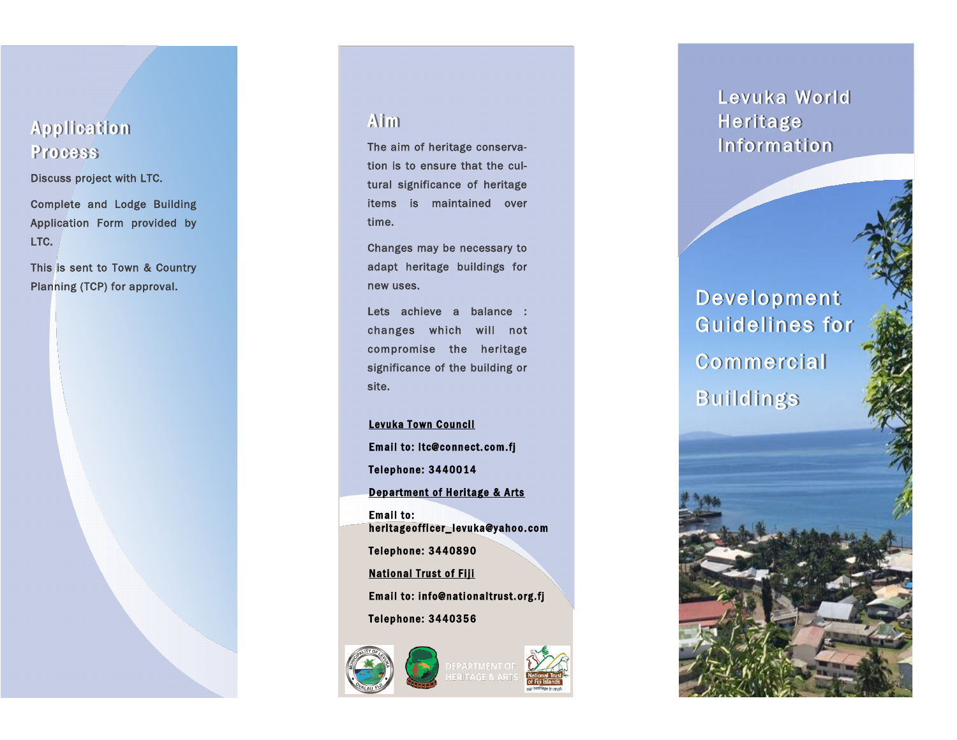## **Application** Process

Discuss project with LTC.

Complete and Lodge Building Application Form provided by LTC.

This is sent to Town & Country Planning (TCP) for approval.

### **Aim**

The aim of heritage conservation is to ensure that the cultural significance of heritage items is maintained over time.

Changes may be necessary to adapt heritage buildings for new uses.

Lets achieve a balance : changes which will not compromise the heritage significance of the building or site.

Levuka Town Council Email to: ltc@connect.com.fj Telephone: 3440014 Department of Heritage & Arts Email to: heritage officer\_levuka@yahoo.com Telephone: 3440890 **National Trust of Fiji** Email to: info@nationaltrust.org.fj Telephone: 3440356



## Levuka World Heritage Information

Development Guidelines for **Commercial** Buildings